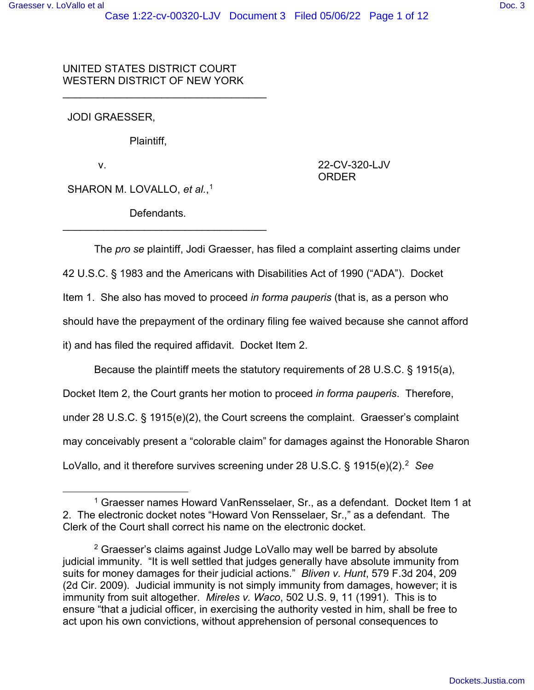UNITED STATES DISTRICT COURT WESTERN DISTRICT OF NEW YORK

 $\overline{\phantom{a}}$  , and the set of the set of the set of the set of the set of the set of the set of the set of the set of the set of the set of the set of the set of the set of the set of the set of the set of the set of the s

JODI GRAESSER,

Plaintiff,

v.

22-CV-320-LJV ORDER

SHARON M. LOVALLO, *et al.*, 1

Defendants.

\_\_\_\_\_\_\_\_\_\_\_\_\_\_\_\_\_\_\_\_\_\_\_\_\_\_\_\_\_\_\_\_\_\_\_

The *pro se* plaintiff, Jodi Graesser, has filed a complaint asserting claims under

42 U.S.C. § 1983 and the Americans with Disabilities Act of 1990 ("ADA"). Docket

Item 1. She also has moved to proceed *in forma pauperis* (that is, as a person who

should have the prepayment of the ordinary filing fee waived because she cannot afford

it) and has filed the required affidavit. Docket Item 2.

Because the plaintiff meets the statutory requirements of 28 U.S.C. § 1915(a),

Docket Item 2, the Court grants her motion to proceed *in forma pauperis*. Therefore,

under 28 U.S.C. § 1915(e)(2), the Court screens the complaint. Graesser's complaint

may conceivably present a "colorable claim" for damages against the Honorable Sharon

LoVallo, and it therefore survives screening under 28 U.S.C. § 1915(e)(2).<sup>2</sup> *See* 

<sup>1</sup> Graesser names Howard VanRensselaer, Sr., as a defendant. Docket Item 1 at 2. The electronic docket notes "Howard Von Rensselaer, Sr.," as a defendant. The Clerk of the Court shall correct his name on the electronic docket.

<sup>2</sup> Graesser's claims against Judge LoVallo may well be barred by absolute judicial immunity. "It is well settled that judges generally have absolute immunity from suits for money damages for their judicial actions." *Bliven v. Hunt*, 579 F.3d 204, 209 (2d Cir. 2009). Judicial immunity is not simply immunity from damages, however; it is immunity from suit altogether. *Mireles v. Waco*, 502 U.S. 9, 11 (1991). This is to ensure "that a judicial officer, in exercising the authority vested in him, shall be free to act upon his own convictions, without apprehension of personal consequences to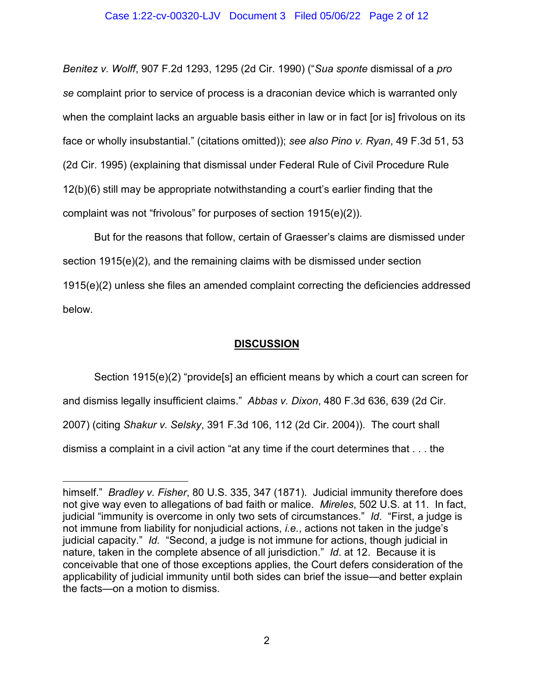## Case 1:22-cv-00320-LJV Document 3 Filed 05/06/22 Page 2 of 12

*Benitez v. Wolff*, 907 F.2d 1293, 1295 (2d Cir. 1990) ("*Sua sponte* dismissal of a *pro se* complaint prior to service of process is a draconian device which is warranted only when the complaint lacks an arguable basis either in law or in fact [or is] frivolous on its face or wholly insubstantial." (citations omitted)); *see also Pino v. Ryan*, 49 F.3d 51, 53 (2d Cir. 1995) (explaining that dismissal under Federal Rule of Civil Procedure Rule 12(b)(6) still may be appropriate notwithstanding a court's earlier finding that the complaint was not "frivolous" for purposes of section 1915(e)(2)).

But for the reasons that follow, certain of Graesser's claims are dismissed under section 1915(e)(2), and the remaining claims with be dismissed under section 1915(e)(2) unless she files an amended complaint correcting the deficiencies addressed below.

# **DISCUSSION**

Section 1915(e)(2) "provide[s] an efficient means by which a court can screen for

and dismiss legally insufficient claims." *Abbas v. Dixon*, 480 F.3d 636, 639 (2d Cir.

2007) (citing *Shakur v. Selsky*, 391 F.3d 106, 112 (2d Cir. 2004)). The court shall

dismiss a complaint in a civil action "at any time if the court determines that . . . the

himself." *Bradley v. Fisher*, 80 U.S. 335, 347 (1871). Judicial immunity therefore does not give way even to allegations of bad faith or malice. *Mireles*, 502 U.S. at 11. In fact, judicial "immunity is overcome in only two sets of circumstances." *Id*. "First, a judge is not immune from liability for nonjudicial actions, *i.e.*, actions not taken in the judge's judicial capacity." *Id.* "Second, a judge is not immune for actions, though judicial in nature, taken in the complete absence of all jurisdiction." *Id*. at 12. Because it is conceivable that one of those exceptions applies, the Court defers consideration of the applicability of judicial immunity until both sides can brief the issue—and better explain the facts—on a motion to dismiss.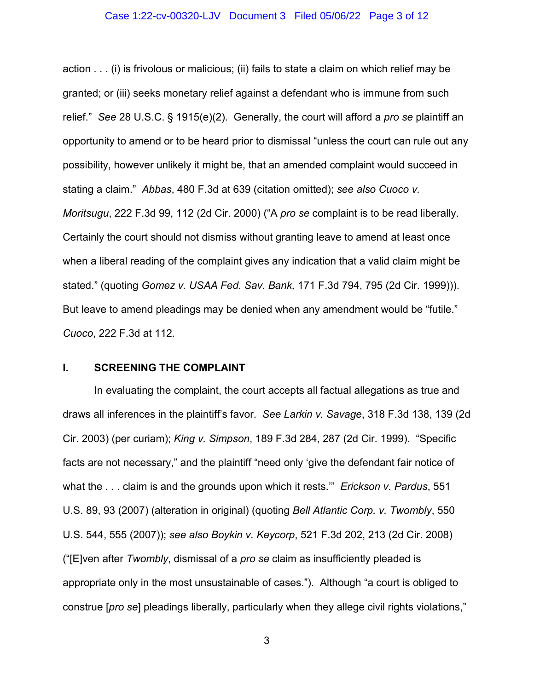### Case 1:22-cv-00320-LJV Document 3 Filed 05/06/22 Page 3 of 12

action . . . (i) is frivolous or malicious; (ii) fails to state a claim on which relief may be granted; or (iii) seeks monetary relief against a defendant who is immune from such relief." *See* 28 U.S.C. § 1915(e)(2). Generally, the court will afford a *pro se* plaintiff an opportunity to amend or to be heard prior to dismissal "unless the court can rule out any possibility, however unlikely it might be, that an amended complaint would succeed in stating a claim." *Abbas*, 480 F.3d at 639 (citation omitted); *see also Cuoco v. Moritsugu*, 222 F.3d 99, 112 (2d Cir. 2000) ("A *pro se* complaint is to be read liberally. Certainly the court should not dismiss without granting leave to amend at least once when a liberal reading of the complaint gives any indication that a valid claim might be stated." (quoting *Gomez v. USAA Fed. Sav. Bank,* 171 F.3d 794, 795 (2d Cir. 1999))). But leave to amend pleadings may be denied when any amendment would be "futile." *Cuoco*, 222 F.3d at 112*.*

## **I. SCREENING THE COMPLAINT**

In evaluating the complaint, the court accepts all factual allegations as true and draws all inferences in the plaintiff's favor. *See Larkin v. Savage*, 318 F.3d 138, 139 (2d Cir. 2003) (per curiam); *King v. Simpson*, 189 F.3d 284, 287 (2d Cir. 1999). "Specific facts are not necessary," and the plaintiff "need only 'give the defendant fair notice of what the . . . claim is and the grounds upon which it rests.'" *Erickson v. Pardus*, 551 U.S. 89, 93 (2007) (alteration in original) (quoting *Bell Atlantic Corp. v. Twombly*, 550 U.S. 544, 555 (2007)); *see also Boykin v. Keycorp*, 521 F.3d 202, 213 (2d Cir. 2008) ("[E]ven after *Twombly*, dismissal of a *pro se* claim as insufficiently pleaded is appropriate only in the most unsustainable of cases."). Although "a court is obliged to construe [*pro se*] pleadings liberally, particularly when they allege civil rights violations,"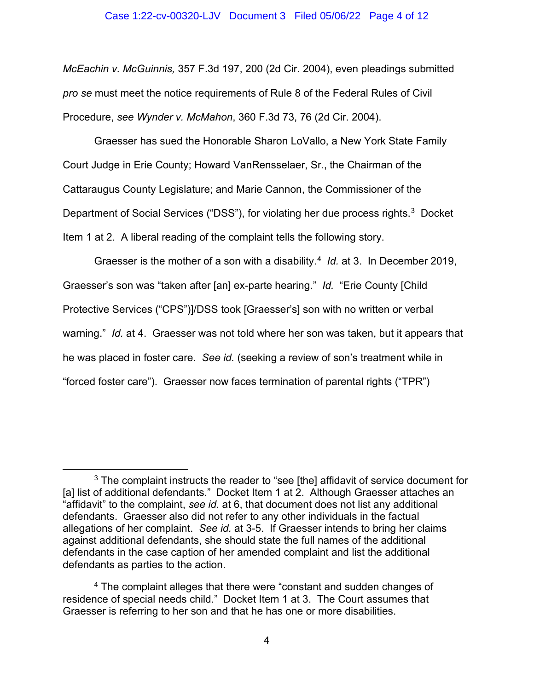### Case 1:22-cv-00320-LJV Document 3 Filed 05/06/22 Page 4 of 12

*McEachin v. McGuinnis,* 357 F.3d 197, 200 (2d Cir. 2004), even pleadings submitted *pro se* must meet the notice requirements of Rule 8 of the Federal Rules of Civil Procedure, *see Wynder v. McMahon*, 360 F.3d 73, 76 (2d Cir. 2004).

Graesser has sued the Honorable Sharon LoVallo, a New York State Family Court Judge in Erie County; Howard VanRensselaer, Sr., the Chairman of the Cattaraugus County Legislature; and Marie Cannon, the Commissioner of the Department of Social Services ("DSS"), for violating her due process rights.<sup>3</sup> Docket Item 1 at 2. A liberal reading of the complaint tells the following story.

Graesser is the mother of a son with a disability.<sup>4</sup> *Id.* at 3. In December 2019, Graesser's son was "taken after [an] ex-parte hearing." *Id.* "Erie County [Child Protective Services ("CPS")]/DSS took [Graesser's] son with no written or verbal warning." *Id.* at 4. Graesser was not told where her son was taken, but it appears that he was placed in foster care. *See id.* (seeking a review of son's treatment while in "forced foster care"). Graesser now faces termination of parental rights ("TPR")

<sup>&</sup>lt;sup>3</sup> The complaint instructs the reader to "see [the] affidavit of service document for [a] list of additional defendants." Docket Item 1 at 2. Although Graesser attaches an "affidavit" to the complaint, *see id.* at 6, that document does not list any additional defendants. Graesser also did not refer to any other individuals in the factual allegations of her complaint. *See id.* at 3-5. If Graesser intends to bring her claims against additional defendants, she should state the full names of the additional defendants in the case caption of her amended complaint and list the additional defendants as parties to the action.

 $4$  The complaint alleges that there were "constant and sudden changes of residence of special needs child." Docket Item 1 at 3. The Court assumes that Graesser is referring to her son and that he has one or more disabilities.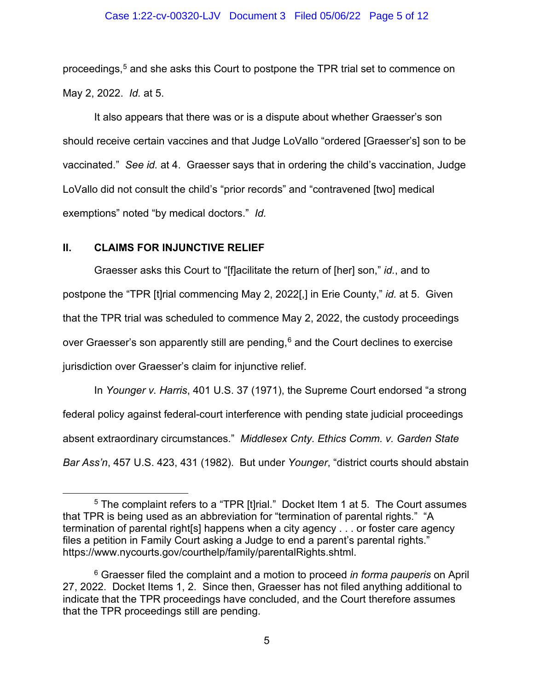## Case 1:22-cv-00320-LJV Document 3 Filed 05/06/22 Page 5 of 12

proceedings, <sup>5</sup> and she asks this Court to postpone the TPR trial set to commence on May 2, 2022. *Id.* at 5.

It also appears that there was or is a dispute about whether Graesser's son should receive certain vaccines and that Judge LoVallo "ordered [Graesser's] son to be vaccinated." *See id.* at 4. Graesser says that in ordering the child's vaccination, Judge LoVallo did not consult the child's "prior records" and "contravened [two] medical exemptions" noted "by medical doctors." *Id.* 

# **II. CLAIMS FOR INJUNCTIVE RELIEF**

Graesser asks this Court to "[f]acilitate the return of [her] son," *id.*, and to postpone the "TPR [t]rial commencing May 2, 2022[,] in Erie County," *id.* at 5. Given that the TPR trial was scheduled to commence May 2, 2022, the custody proceedings over Graesser's son apparently still are pending, $^6$  and the Court declines to exercise jurisdiction over Graesser's claim for injunctive relief.

In *Younger v. Harris*, 401 U.S. 37 (1971), the Supreme Court endorsed "a strong federal policy against federal-court interference with pending state judicial proceedings absent extraordinary circumstances." *Middlesex Cnty. Ethics Comm. v. Garden State Bar Ass'n*, 457 U.S. 423, 431 (1982). But under *Younger*, "district courts should abstain

<sup>&</sup>lt;sup>5</sup> The complaint refers to a "TPR [t]rial." Docket Item 1 at 5. The Court assumes that TPR is being used as an abbreviation for "termination of parental rights." "A termination of parental right[s] happens when a city agency . . . or foster care agency files a petition in Family Court asking a Judge to end a parent's parental rights." https://www.nycourts.gov/courthelp/family/parentalRights.shtml.

<sup>6</sup> Graesser filed the complaint and a motion to proceed *in forma pauperis* on April 27, 2022. Docket Items 1, 2. Since then, Graesser has not filed anything additional to indicate that the TPR proceedings have concluded, and the Court therefore assumes that the TPR proceedings still are pending.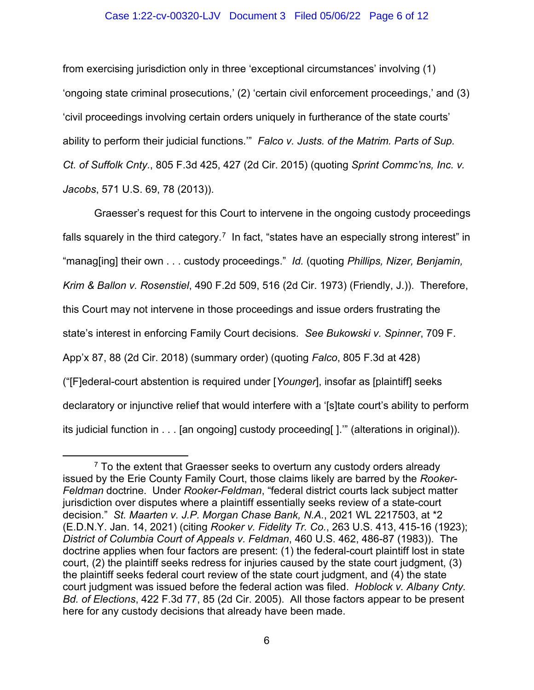## Case 1:22-cv-00320-LJV Document 3 Filed 05/06/22 Page 6 of 12

from exercising jurisdiction only in three 'exceptional circumstances' involving (1) 'ongoing state criminal prosecutions,' (2) 'certain civil enforcement proceedings,' and (3) 'civil proceedings involving certain orders uniquely in furtherance of the state courts' ability to perform their judicial functions.'" *Falco v. Justs. of the Matrim. Parts of Sup. Ct. of Suffolk Cnty.*, 805 F.3d 425, 427 (2d Cir. 2015) (quoting *Sprint Commc'ns, Inc. v. Jacobs*, 571 U.S. 69, 78 (2013)).

Graesser's request for this Court to intervene in the ongoing custody proceedings falls squarely in the third category. $^7\,$  In fact, "states have an especially strong interest" in "manag[ing] their own . . . custody proceedings." *Id.* (quoting *Phillips, Nizer, Benjamin, Krim & Ballon v. Rosenstiel*, 490 F.2d 509, 516 (2d Cir. 1973) (Friendly, J.)). Therefore, this Court may not intervene in those proceedings and issue orders frustrating the state's interest in enforcing Family Court decisions. *See Bukowski v. Spinner*, 709 F. App'x 87, 88 (2d Cir. 2018) (summary order) (quoting *Falco*, 805 F.3d at 428) ("[F]ederal-court abstention is required under [*Younger*], insofar as [plaintiff] seeks declaratory or injunctive relief that would interfere with a '[s]tate court's ability to perform its judicial function in . . . [an ongoing] custody proceeding[ ].'" (alterations in original)).

 $7$  To the extent that Graesser seeks to overturn any custody orders already issued by the Erie County Family Court, those claims likely are barred by the *Rooker-Feldman* doctrine. Under *Rooker-Feldman*, "federal district courts lack subject matter jurisdiction over disputes where a plaintiff essentially seeks review of a state-court decision." *St. Maarten v. J.P. Morgan Chase Bank, N.A.*, 2021 WL 2217503, at \*2 (E.D.N.Y. Jan. 14, 2021) (citing *Rooker v. Fidelity Tr. Co.*, 263 U.S. 413, 415-16 (1923); *District of Columbia Court of Appeals v. Feldman*, 460 U.S. 462, 486-87 (1983)). The doctrine applies when four factors are present: (1) the federal-court plaintiff lost in state court, (2) the plaintiff seeks redress for injuries caused by the state court judgment, (3) the plaintiff seeks federal court review of the state court judgment, and (4) the state court judgment was issued before the federal action was filed. *Hoblock v. Albany Cnty. Bd. of Elections*, 422 F.3d 77, 85 (2d Cir. 2005). All those factors appear to be present here for any custody decisions that already have been made.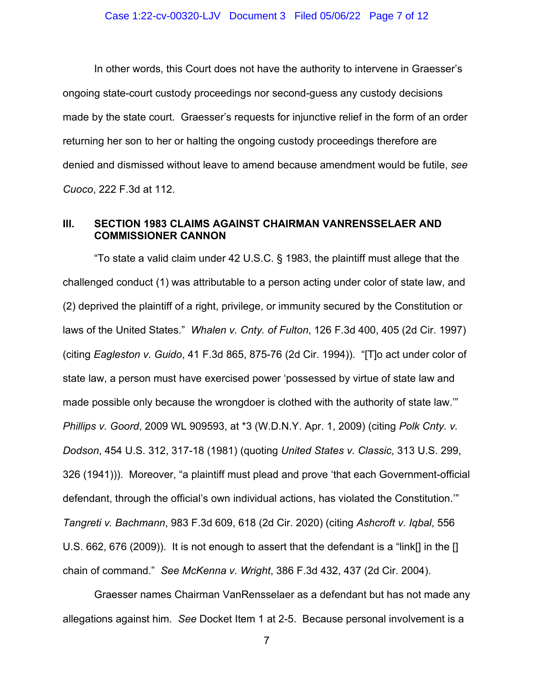In other words, this Court does not have the authority to intervene in Graesser's ongoing state-court custody proceedings nor second-guess any custody decisions made by the state court. Graesser's requests for injunctive relief in the form of an order returning her son to her or halting the ongoing custody proceedings therefore are denied and dismissed without leave to amend because amendment would be futile, *see Cuoco*, 222 F.3d at 112.

# **III. SECTION 1983 CLAIMS AGAINST CHAIRMAN VANRENSSELAER AND COMMISSIONER CANNON**

"To state a valid claim under 42 U.S.C. § 1983, the plaintiff must allege that the challenged conduct (1) was attributable to a person acting under color of state law, and (2) deprived the plaintiff of a right, privilege, or immunity secured by the Constitution or laws of the United States." *Whalen v. Cnty. of Fulton*, 126 F.3d 400, 405 (2d Cir. 1997) (citing *Eagleston v. Guido*, 41 F.3d 865, 875-76 (2d Cir. 1994)). "[T]o act under color of state law, a person must have exercised power 'possessed by virtue of state law and made possible only because the wrongdoer is clothed with the authority of state law.'" *Phillips v. Goord*, 2009 WL 909593, at \*3 (W.D.N.Y. Apr. 1, 2009) (citing *Polk Cnty. v. Dodson*, 454 U.S. 312, 317-18 (1981) (quoting *United States v. Classic*, 313 U.S. 299, 326 (1941))). Moreover, "a plaintiff must plead and prove 'that each Government-official defendant, through the official's own individual actions, has violated the Constitution.'" *Tangreti v. Bachmann*, 983 F.3d 609, 618 (2d Cir. 2020) (citing *Ashcroft v. Iqbal*, 556 U.S. 662, 676 (2009)). It is not enough to assert that the defendant is a "link[] in the [] chain of command." *See McKenna v. Wright*, 386 F.3d 432, 437 (2d Cir. 2004).

Graesser names Chairman VanRensselaer as a defendant but has not made any allegations against him. *See* Docket Item 1 at 2-5. Because personal involvement is a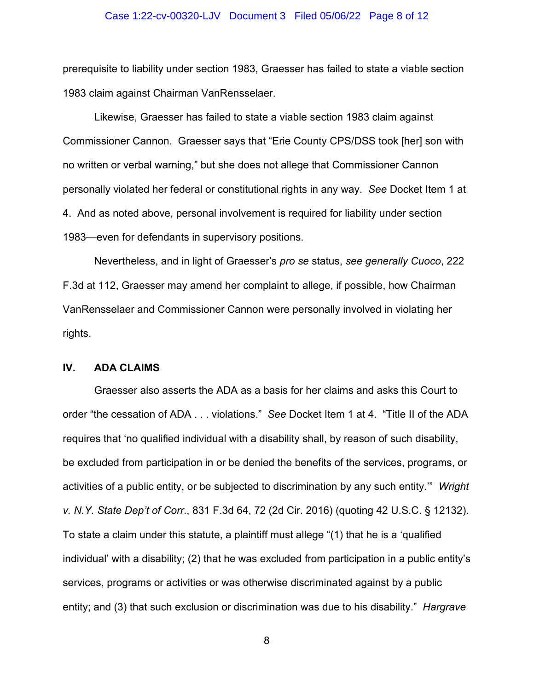#### Case 1:22-cv-00320-LJV Document 3 Filed 05/06/22 Page 8 of 12

prerequisite to liability under section 1983, Graesser has failed to state a viable section 1983 claim against Chairman VanRensselaer.

Likewise, Graesser has failed to state a viable section 1983 claim against Commissioner Cannon. Graesser says that "Erie County CPS/DSS took [her] son with no written or verbal warning," but she does not allege that Commissioner Cannon personally violated her federal or constitutional rights in any way. *See* Docket Item 1 at 4. And as noted above, personal involvement is required for liability under section 1983—even for defendants in supervisory positions.

Nevertheless, and in light of Graesser's *pro se* status, *see generally Cuoco*, 222 F.3d at 112, Graesser may amend her complaint to allege, if possible, how Chairman VanRensselaer and Commissioner Cannon were personally involved in violating her rights.

## **IV. ADA CLAIMS**

Graesser also asserts the ADA as a basis for her claims and asks this Court to order "the cessation of ADA . . . violations." *See* Docket Item 1 at 4. "Title II of the ADA requires that 'no qualified individual with a disability shall, by reason of such disability, be excluded from participation in or be denied the benefits of the services, programs, or activities of a public entity, or be subjected to discrimination by any such entity.'" *Wright v. N.Y. State Dep't of Corr*., 831 F.3d 64, 72 (2d Cir. 2016) (quoting 42 U.S.C. § 12132). To state a claim under this statute, a plaintiff must allege "(1) that he is a 'qualified individual' with a disability; (2) that he was excluded from participation in a public entity's services, programs or activities or was otherwise discriminated against by a public entity; and (3) that such exclusion or discrimination was due to his disability." *Hargrave*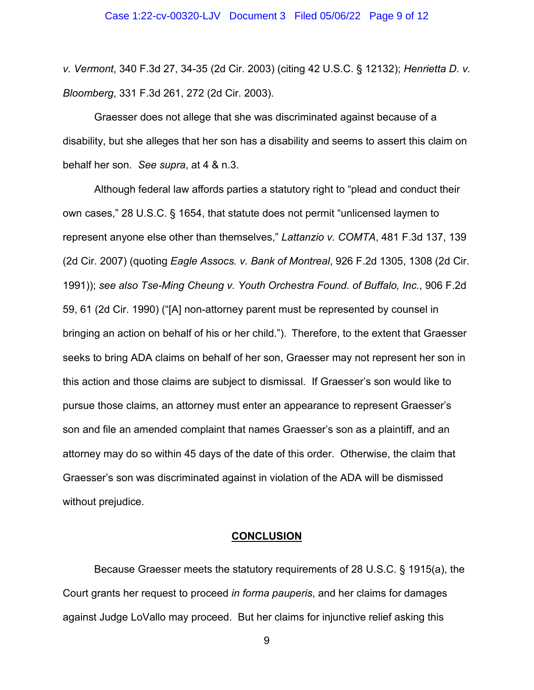*v. Vermont*, 340 F.3d 27, 34-35 (2d Cir. 2003) (citing 42 U.S.C. § 12132); *Henrietta D. v. Bloomberg*, 331 F.3d 261, 272 (2d Cir. 2003).

Graesser does not allege that she was discriminated against because of a disability, but she alleges that her son has a disability and seems to assert this claim on behalf her son. *See supra*, at 4 & n.3.

Although federal law affords parties a statutory right to "plead and conduct their own cases," 28 U.S.C. § 1654, that statute does not permit "unlicensed laymen to represent anyone else other than themselves," *Lattanzio v. COMTA*, 481 F.3d 137, 139 (2d Cir. 2007) (quoting *Eagle Assocs. v. Bank of Montreal*, 926 F.2d 1305, 1308 (2d Cir. 1991)); *see also Tse-Ming Cheung v. Youth Orchestra Found. of Buffalo, Inc.*, 906 F.2d 59, 61 (2d Cir. 1990) ("[A] non-attorney parent must be represented by counsel in bringing an action on behalf of his or her child."). Therefore, to the extent that Graesser seeks to bring ADA claims on behalf of her son, Graesser may not represent her son in this action and those claims are subject to dismissal. If Graesser's son would like to pursue those claims, an attorney must enter an appearance to represent Graesser's son and file an amended complaint that names Graesser's son as a plaintiff, and an attorney may do so within 45 days of the date of this order. Otherwise, the claim that Graesser's son was discriminated against in violation of the ADA will be dismissed without prejudice.

## **CONCLUSION**

Because Graesser meets the statutory requirements of 28 U.S.C. § 1915(a), the Court grants her request to proceed *in forma pauperis*, and her claims for damages against Judge LoVallo may proceed.But her claims for injunctive relief asking this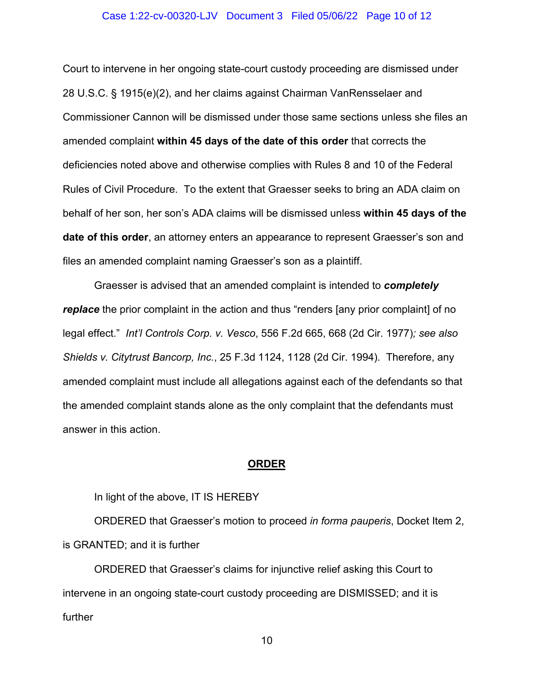## Case 1:22-cv-00320-LJV Document 3 Filed 05/06/22 Page 10 of 12

Court to intervene in her ongoing state-court custody proceeding are dismissed under 28 U.S.C. § 1915(e)(2), and her claims against Chairman VanRensselaer and Commissioner Cannon will be dismissed under those same sections unless she files an amended complaint **within 45 days of the date of this order** that corrects the deficiencies noted above and otherwise complies with Rules 8 and 10 of the Federal Rules of Civil Procedure. To the extent that Graesser seeks to bring an ADA claim on behalf of her son, her son's ADA claims will be dismissed unless **within 45 days of the date of this order**, an attorney enters an appearance to represent Graesser's son and files an amended complaint naming Graesser's son as a plaintiff.

Graesser is advised that an amended complaint is intended to *completely replace* the prior complaint in the action and thus "renders [any prior complaint] of no legal effect." *Int'l Controls Corp. v. Vesco*, 556 F.2d 665, 668 (2d Cir. 1977)*; see also Shields v. Citytrust Bancorp, Inc.*, 25 F.3d 1124, 1128 (2d Cir. 1994). Therefore, any amended complaint must include all allegations against each of the defendants so that the amended complaint stands alone as the only complaint that the defendants must answer in this action.

### **ORDER**

In light of the above, IT IS HEREBY

ORDERED that Graesser's motion to proceed *in forma pauperis*, Docket Item 2, is GRANTED; and it is further

ORDERED that Graesser's claims for injunctive relief asking this Court to intervene in an ongoing state-court custody proceeding are DISMISSED; and it is further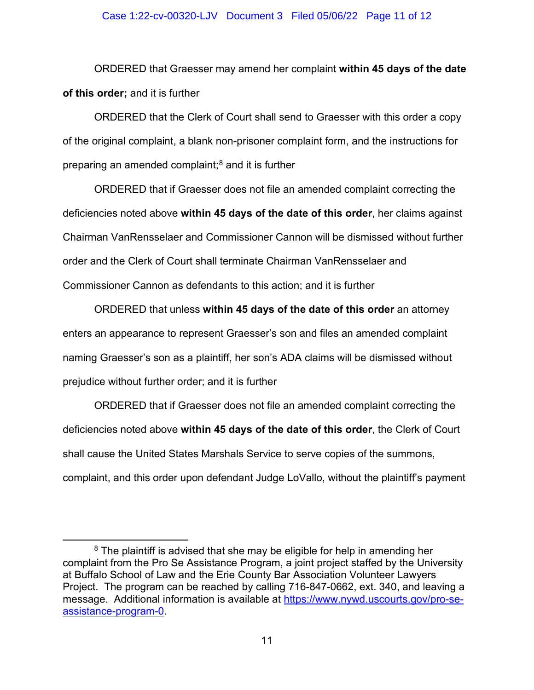## Case 1:22-cv-00320-LJV Document 3 Filed 05/06/22 Page 11 of 12

ORDERED that Graesser may amend her complaint **within 45 days of the date of this order;** and it is further

ORDERED that the Clerk of Court shall send to Graesser with this order a copy of the original complaint, a blank non-prisoner complaint form, and the instructions for preparing an amended complaint; $8$  and it is further

ORDERED that if Graesser does not file an amended complaint correcting the deficiencies noted above **within 45 days of the date of this order**, her claims against Chairman VanRensselaer and Commissioner Cannon will be dismissed without further order and the Clerk of Court shall terminate Chairman VanRensselaer and Commissioner Cannon as defendants to this action; and it is further

ORDERED that unless **within 45 days of the date of this order** an attorney enters an appearance to represent Graesser's son and files an amended complaint naming Graesser's son as a plaintiff, her son's ADA claims will be dismissed without prejudice without further order; and it is further

ORDERED that if Graesser does not file an amended complaint correcting the deficiencies noted above **within 45 days of the date of this order**, the Clerk of Court shall cause the United States Marshals Service to serve copies of the summons, complaint, and this order upon defendant Judge LoVallo, without the plaintiff's payment

 $8$  The plaintiff is advised that she may be eligible for help in amending her complaint from the Pro Se Assistance Program, a joint project staffed by the University at Buffalo School of Law and the Erie County Bar Association Volunteer Lawyers Project. The program can be reached by calling 716-847-0662, ext. 340, and leaving a message. Additional information is available at https://www.nywd.uscourts.gov/pro-seassistance-program-0.